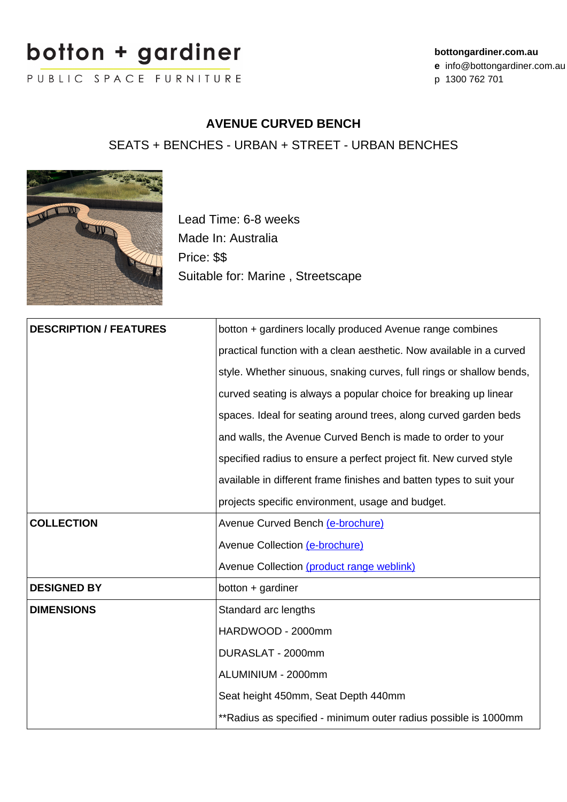# botton + garainer

PUBLIC SPACE FURNITURE

#### **bottongardiner.com.au**

**e** info@bottongardiner.com.au

p 1300 762 701

### **AVENUE CURVED BENCH**

SEATS + BENCHES - URBAN + STREET - URBAN BENCHES



Lead Time: 6-8 weeks Made In: Australia Price: \$\$ Suitable for: Marine , Streetscape

| <b>DESCRIPTION / FEATURES</b> | botton + gardiners locally produced Avenue range combines            |
|-------------------------------|----------------------------------------------------------------------|
|                               | practical function with a clean aesthetic. Now available in a curved |
|                               | style. Whether sinuous, snaking curves, full rings or shallow bends, |
|                               | curved seating is always a popular choice for breaking up linear     |
|                               | spaces. Ideal for seating around trees, along curved garden beds     |
|                               | and walls, the Avenue Curved Bench is made to order to your          |
|                               | specified radius to ensure a perfect project fit. New curved style   |
|                               | available in different frame finishes and batten types to suit your  |
|                               | projects specific environment, usage and budget.                     |
| <b>COLLECTION</b>             | Avenue Curved Bench (e-brochure)                                     |
|                               | Avenue Collection (e-brochure)                                       |
|                               | Avenue Collection (product range weblink)                            |
| <b>DESIGNED BY</b>            | $bottom +$ gardiner                                                  |
| <b>DIMENSIONS</b>             | Standard arc lengths                                                 |
|                               | HARDWOOD - 2000mm                                                    |
|                               | DURASLAT - 2000mm                                                    |
|                               | ALUMINIUM - 2000mm                                                   |
|                               | Seat height 450mm, Seat Depth 440mm                                  |
|                               | **Radius as specified - minimum outer radius possible is 1000mm      |